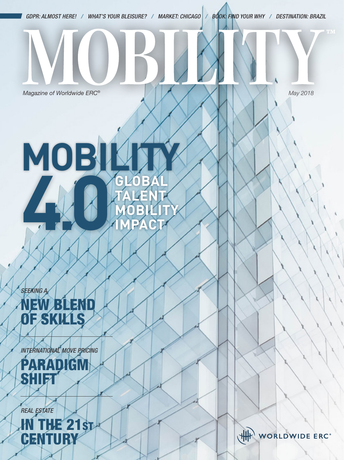*REAL ESTATE*   $21st$ CEN

 $\lambda$  WORLDWIDE ERC $^{\circ}$ 一

# PARADIGM  $\mathbf S$

*INTERNATIONAL MOVE PRICING*

# *SEEKING A*  NEW BLEND 0**F**S

**MOBILITY** 

*Magazine of Worldwide ERC®*

**MOB** 

*May 2018*

*GDPR: ALMOST HERE! / WHAT'S YOUR BLEISURE? / MARKET: CHICAGO / BOOK: FIND YOUR WHY / DESTINATION: BRAZIL*

**GLOBAL** 

**TALENT**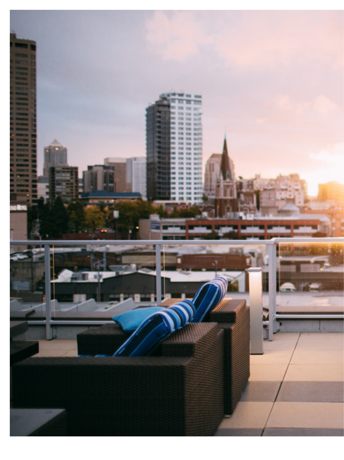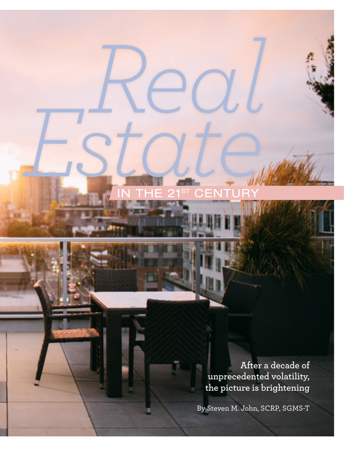**After a decade of unprecedented volatility, the picture is brightening**

*Real*

**CENTURY** 

IN THE 21 $^{\rm{ST}}$ 

Estate

By Steven M. John, SCRP, SGMS-T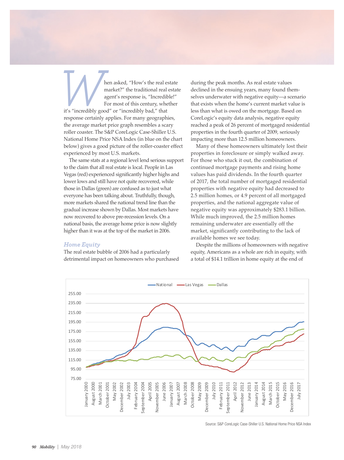**Example 18 All the real estate**<br> **Example 18 All the real estate**<br> **Example 18 All the real estate**<br> **Example 18 All the real estate**<br> **Example 18 All the real estate**<br> **Example 18 All the real estate of this century, whe** market?" the traditional real estate agent's response is, "Incredible!" For most of this century, whether it's "incredibly good" or "incredibly bad," that response certainly applies. For many geographies, the average market price graph resembles a scary roller coaster. The S&P CoreLogic Case-Shiller U.S. National Home Price NSA Index (in blue on the chart below) gives a good picture of the roller-coaster effect experienced by most U.S. markets.

The same stats at a regional level lend serious support to the claim that all real estate is local. People in Las Vegas (red) experienced significantly higher highs and lower lows and still have not quite recovered, while those in Dallas (green) are confused as to just what everyone has been talking about. Truthfully, though, more markets shared the national trend line than the gradual increase shown by Dallas. Most markets have now recovered to above pre-recession levels. On a national basis, the average home price is now slightly higher than it was at the top of the market in 2006.

#### *Home Equity*

The real estate bubble of 2006 had a particularly detrimental impact on homeowners who purchased during the peak months. As real estate values declined in the ensuing years, many found themselves underwater with negative equity—a scenario that exists when the home's current market value is less than what is owed on the mortgage. Based on CoreLogic's equity data analysis, negative equity reached a peak of 26 percent of mortgaged residential properties in the fourth quarter of 2009, seriously impacting more than 12.5 million homeowners.

Many of these homeowners ultimately lost their properties in foreclosure or simply walked away. For those who stuck it out, the combination of continued mortgage payments and rising home values has paid dividends. In the fourth quarter of 2017, the total number of mortgaged residential properties with negative equity had decreased to 2.5 million homes, or 4.9 percent of all mortgaged properties, and the national aggregate value of negative equity was approximately \$283.1 billion. While much improved, the 2.5 million homes remaining underwater are essentially off the market, significantly contributing to the lack of available homes we see today.

Despite the millions of homeowners with negative equity, Americans as a whole are rich in equity, with a total of \$14.1 trillion in home equity at the end of



Source: S&P CoreLogic Case-Shiller U.S. National Home Price NSA Index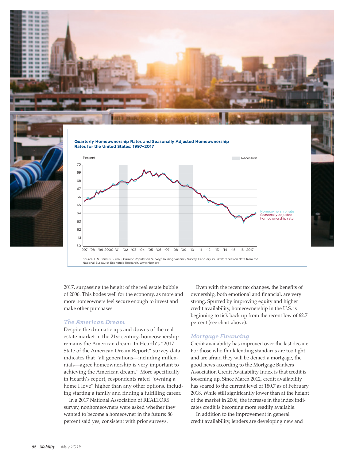

2017, surpassing the height of the real estate bubble of 2006. This bodes well for the economy, as more and more homeowners feel secure enough to invest and make other purchases.

#### *The American Dream*

Despite the dramatic ups and downs of the real estate market in the 21st century, homeownership remains the American dream. In Hearth's "2017 State of the American Dream Report," survey data indicates that "all generations—including millennials—agree homeownership is very important to achieving the American dream." More specifically in Hearth's report, respondents rated "owning a home I love" higher than any other options, including starting a family and finding a fulfilling career.

In a 2017 National Association of REALTORS survey, nonhomeowners were asked whether they wanted to become a homeowner in the future: 86 percent said yes, consistent with prior surveys.

Even with the recent tax changes, the benefits of ownership, both emotional and financial, are very strong. Spurred by improving equity and higher credit availability, homeownership in the U.S. is beginning to tick back up from the recent low of 62.7 percent (see chart above).

## *Mortgage Financing*

Credit availability has improved over the last decade. For those who think lending standards are too tight and are afraid they will be denied a mortgage, the good news according to the Mortgage Bankers Association Credit Availability Index is that credit is loosening up. Since March 2012, credit availability has soared to the current level of 180.7 as of February 2018. While still significantly lower than at the height of the market in 2006, the increase in the index indicates credit is becoming more readily available.

In addition to the improvement in general credit availability, lenders are developing new and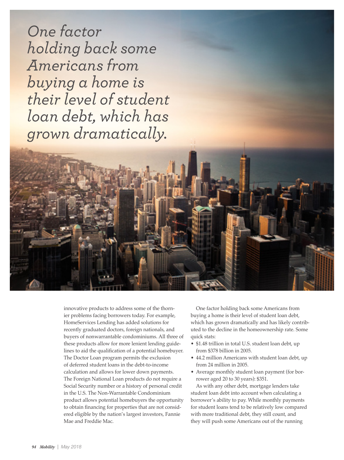*One factor holding back some Americans from buying a home is their level of student loan debt, which has grown dramatically.*

> innovative products to address some of the thornier problems facing borrowers today. For example, HomeServices Lending has added solutions for recently graduated doctors, foreign nationals, and buyers of nonwarrantable condominiums. All three of these products allow for more lenient lending guidelines to aid the qualification of a potential homebuyer. The Doctor Loan program permits the exclusion of deferred student loans in the debt-to-income calculation and allows for lower down payments. The Foreign National Loan products do not require a Social Security number or a history of personal credit in the U.S. The Non-Warrantable Condominium product allows potential homebuyers the opportunity to obtain financing for properties that are not considered eligible by the nation's largest investors, Fannie Mae and Freddie Mac.

One factor holding back some Americans from buying a home is their level of student loan debt, which has grown dramatically and has likely contributed to the decline in the homeownership rate. Some quick stats:

- \$1.48 trillion in total U.S. student loan debt, up from \$378 billion in 2005.
- 44.2 million Americans with student loan debt, up from 24 million in 2005.
- Average monthly student loan payment (for borrower aged 20 to 30 years): \$351.

As with any other debt, mortgage lenders take student loan debt into account when calculating a borrower's ability to pay. While monthly payments for student loans tend to be relatively low compared with more traditional debt, they still count, and they will push some Americans out of the running